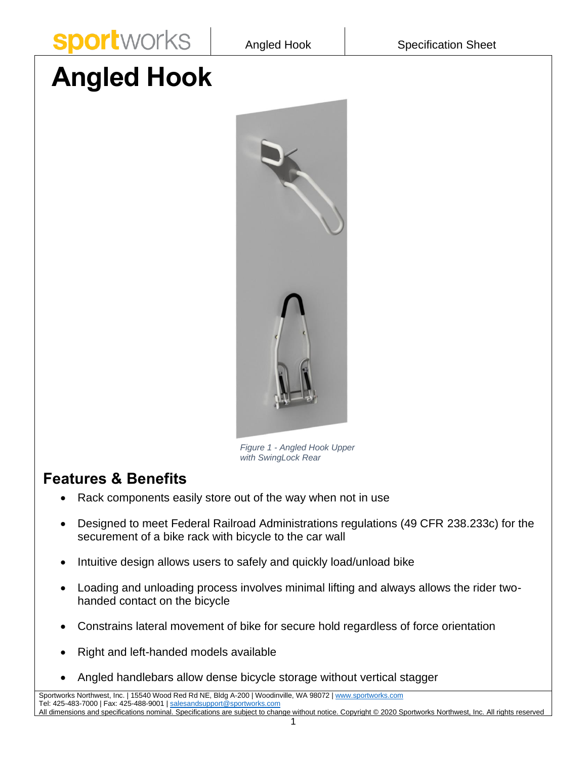

## **Angled Hook**



*Figure 1 - Angled Hook Upper with SwingLock Rear* 

## **Features & Benefits**

- Rack components easily store out of the way when not in use
- Designed to meet Federal Railroad Administrations regulations (49 CFR 238.233c) for the securement of a bike rack with bicycle to the car wall
- Intuitive design allows users to safely and quickly load/unload bike
- Loading and unloading process involves minimal lifting and always allows the rider twohanded contact on the bicycle
- Constrains lateral movement of bike for secure hold regardless of force orientation
- Right and left-handed models available
- Angled handlebars allow dense bicycle storage without vertical stagger

Sportworks Northwest, Inc. | 15540 Wood Red Rd NE, Bldg A-200 | Woodinville, WA 98072 | [www.sportworks.com](http://www.sportworks.com/) Tel: 425-483-7000 | Fax: 425-488-9001 [| salesandsupport@sportworks.com](mailto:salesandsupport@sportworks.com) All dimensions and specifications nominal. Specifications are subject to change without notice. Copyright © 2020 Sportworks Northwest, Inc. All rights reserved